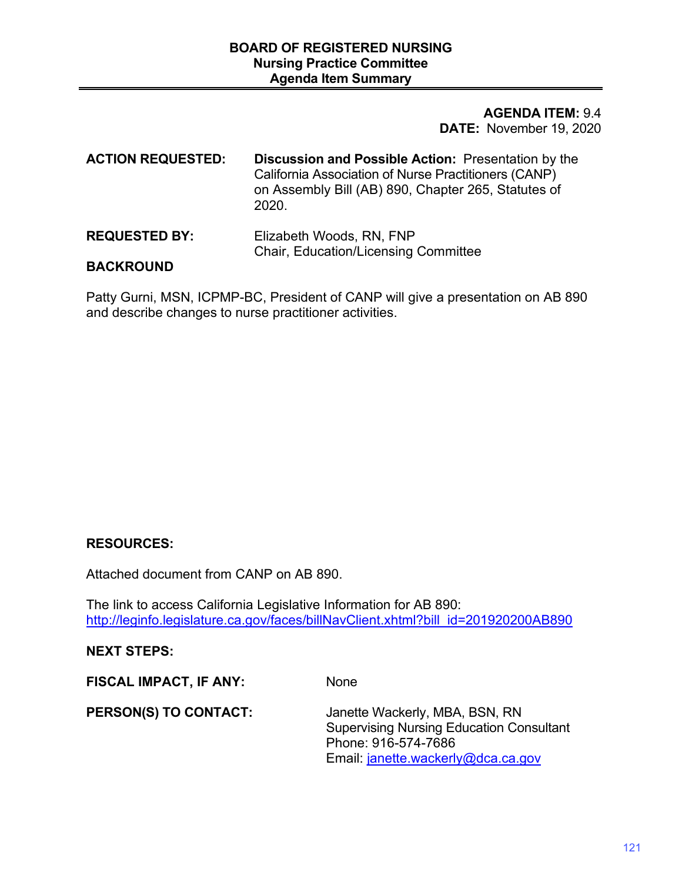## **DATE:** November 19, 2020 **AGENDA ITEM:** 9.4

| <b>ACTION REQUESTED:</b> | <b>Discussion and Possible Action: Presentation by the</b><br>California Association of Nurse Practitioners (CANP)<br>on Assembly Bill (AB) 890, Chapter 265, Statutes of<br>2020. |
|--------------------------|------------------------------------------------------------------------------------------------------------------------------------------------------------------------------------|
|                          |                                                                                                                                                                                    |

#### **REQUESTED BY:** Elizabeth Woods, RN, FNP Chair, Education/Licensing Committee

## **BACKROUND**

Patty Gurni, MSN, ICPMP-BC, President of CANP will give a presentation on AB 890 and describe changes to nurse practitioner activities.

# **RESOURCES:**

Attached document from CANP on AB 890.

The link to access California Legislative Information for AB 890: http://leginfo.legislature.ca.gov/faces/billNavClient.xhtml?bill\_id=201920200AB890

# **NEXT STEPS:**

**FISCAL IMPACT, IF ANY:** None

**PERSON(S) TO CONTACT:** Janette Wackerly, MBA, BSN, RN Supervising Nursing Education Consultant Phone: 916-574-7686 Email: [janette.wackerly@dca.ca.gov](mailto:janette.wackerly@dca.ca.gov)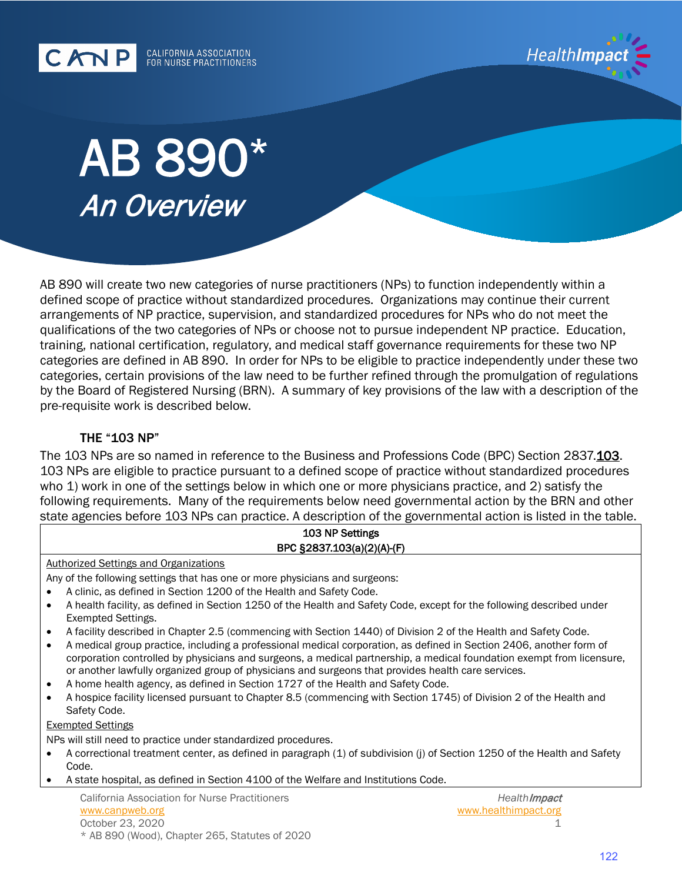CANP CALIFORNIA ASSOCIATION FOR NURSE PRACTITIONERS



# AB 890\* An Overview

AB 890 will create two new categories of nurse practitioners (NPs) to function independently within a defined scope of practice without standardized procedures. Organizations may continue their current arrangements of NP practice, supervision, and standardized procedures for NPs who do not meet the qualifications of the two categories of NPs or choose not to pursue independent NP practice. Education, training, national certification, regulatory, and medical staff governance requirements for these two NP categories are defined in AB 890. In order for NPs to be eligible to practice independently under these two categories, certain provisions of the law need to be further refined through the promulgation of regulations by the Board of Registered Nursing (BRN). A summary of key provisions of the law with a description of the pre-requisite work is described below.

## THE "103 NP"

The 103 NPs are so named in reference to the Business and Professions Code (BPC) Section 2837.<u>103</u>. following requirements. Many of the requirements below need governmental action by the BRN and other 103 NPs are eligible to practice pursuant to a defined scope of practice without standardized procedures who 1) work in one of the settings below in which one or more physicians practice, and 2) satisfy the state agencies before 103 NPs can practice. A description of the governmental action is listed in the table.

# 103 NP Settings BPC §2837.103(a)(2)(A)-(F)

#### Authorized Settings and Organizations

Any of the following settings that has one or more physicians and surgeons:

- A clinic, as defined in Section 1200 of the Health and Safety Code.
- A health facility, as defined in Section 1250 of the Health and Safety Code, except for the following described under Exempted Settings.
- A facility described in Chapter 2.5 (commencing with Section 1440) of Division 2 of the Health and Safety Code.
- A medical group practice, including a professional medical corporation, as defined in Section 2406, another form of corporation controlled by physicians and surgeons, a medical partnership, a medical foundation exempt from licensure, or another lawfully organized group of physicians and surgeons that provides health care services.
- A home health agency, as defined in Section 1727 of the Health and Safety Code.
- A hospice facility licensed pursuant to Chapter 8.5 (commencing with Section 1745) of Division 2 of the Health and Safety Code.

#### Exempted Settings

NPs will still need to practice under standardized procedures.

- A correctional treatment center, as defined in paragraph (1) of subdivision (j) of Section 1250 of the Health and Safety Code.
- A state hospital, as defined in Section 4100 of the Welfare and Institutions Code.

California Association for Nurse Practitioners [www.canpweb.org](http://www.canpweb.org/)  October 23, 2020 \* AB 890 (Wood), Chapter 265, Statutes of 2020

 *Health*Impact [www.healthimpact.org](http://www.healthimpact.org/) 1

122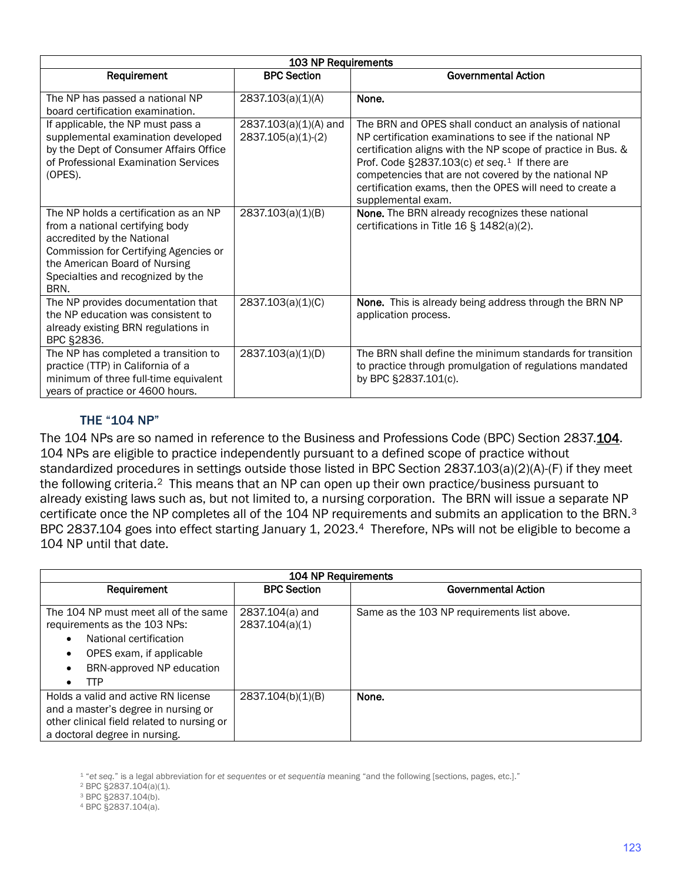| 103 NP Requirements                                                                                                                                                                                                           |                                               |                                                                                                                                                                                                                                                                                                                                                                                          |  |  |
|-------------------------------------------------------------------------------------------------------------------------------------------------------------------------------------------------------------------------------|-----------------------------------------------|------------------------------------------------------------------------------------------------------------------------------------------------------------------------------------------------------------------------------------------------------------------------------------------------------------------------------------------------------------------------------------------|--|--|
| Requirement                                                                                                                                                                                                                   | <b>BPC Section</b>                            | <b>Governmental Action</b>                                                                                                                                                                                                                                                                                                                                                               |  |  |
| The NP has passed a national NP<br>board certification examination.                                                                                                                                                           | 2837.103(a)(1)(A)                             | None.                                                                                                                                                                                                                                                                                                                                                                                    |  |  |
| If applicable, the NP must pass a<br>supplemental examination developed<br>by the Dept of Consumer Affairs Office<br>of Professional Examination Services<br>(OPES).                                                          | 2837.103(a)(1)(A) and<br>$2837.105(a)(1)-(2)$ | The BRN and OPES shall conduct an analysis of national<br>NP certification examinations to see if the national NP<br>certification aligns with the NP scope of practice in Bus. &<br>Prof. Code §2837.103(c) et seq. <sup>1</sup> If there are<br>competencies that are not covered by the national NP<br>certification exams, then the OPES will need to create a<br>supplemental exam. |  |  |
| The NP holds a certification as an NP<br>from a national certifying body<br>accredited by the National<br>Commission for Certifying Agencies or<br>the American Board of Nursing<br>Specialties and recognized by the<br>BRN. | 2837.103(a)(1)(B)                             | <b>None.</b> The BRN already recognizes these national<br>certifications in Title 16 § 1482(a)(2).                                                                                                                                                                                                                                                                                       |  |  |
| The NP provides documentation that<br>the NP education was consistent to<br>already existing BRN regulations in<br>BPC §2836.                                                                                                 | 2837.103(a)(1)(C)                             | None. This is already being address through the BRN NP<br>application process.                                                                                                                                                                                                                                                                                                           |  |  |
| The NP has completed a transition to<br>practice (TTP) in California of a<br>minimum of three full-time equivalent<br>years of practice or 4600 hours.                                                                        | 2837.103(a)(1)(D)                             | The BRN shall define the minimum standards for transition<br>to practice through promulgation of regulations mandated<br>by BPC §2837.101(c).                                                                                                                                                                                                                                            |  |  |

## THE "104 NP"

The 104 NPs are so named in reference to the Business and Professions Code (BPC) Section 2837.<u>104</u>. 104 NPs are eligible to practice independently pursuant to a defined scope of practice without the following criteria.<sup>2</sup> This means that an NP can open up their own practice/business pursuant to already existing laws such as, but not limited to, a nursing corporation. The BRN will issue a separate NP certificate once the NP completes all of the 104 NP requirements and submits an application to the BRN.<sup>3</sup> standardized procedures in settings outside those listed in BPC Section 2837.103(a)(2)(A)-(F) if they meet BPC 2837.10[4](#page-2-3) goes into effect starting January 1, 2023.<sup>4</sup> Therefore, NPs will not be eligible to become a 104 NP until that date.

| 104 NP Requirements                                                                                                                                                                           |                                     |                                             |  |  |
|-----------------------------------------------------------------------------------------------------------------------------------------------------------------------------------------------|-------------------------------------|---------------------------------------------|--|--|
| Requirement                                                                                                                                                                                   | <b>BPC Section</b>                  | Governmental Action                         |  |  |
| The 104 NP must meet all of the same<br>requirements as the 103 NPs:<br>National certification<br>$\bullet$<br>OPES exam, if applicable<br>$\bullet$<br>BRN-approved NP education<br>TTP<br>٠ | $2837.104(a)$ and<br>2837.104(a)(1) | Same as the 103 NP requirements list above. |  |  |
| Holds a valid and active RN license<br>and a master's degree in nursing or<br>other clinical field related to nursing or<br>a doctoral degree in nursing.                                     | 2837.104(b)(1)(B)                   | None.                                       |  |  |

<span id="page-2-1"></span><span id="page-2-0"></span>1 "*et seq.*" is a legal abbreviation for *et sequentes or et sequentia* meaning "and the following [sections, pages, etc.]."<br><sup>2</sup> BPC §2837.104(a)(1).<br><sup>3</sup> BPC §2837.104(b).

<span id="page-2-3"></span><span id="page-2-2"></span><sup>3</sup> BPC §2837.104(b).<br><sup>4</sup> BPC §2837.104(a).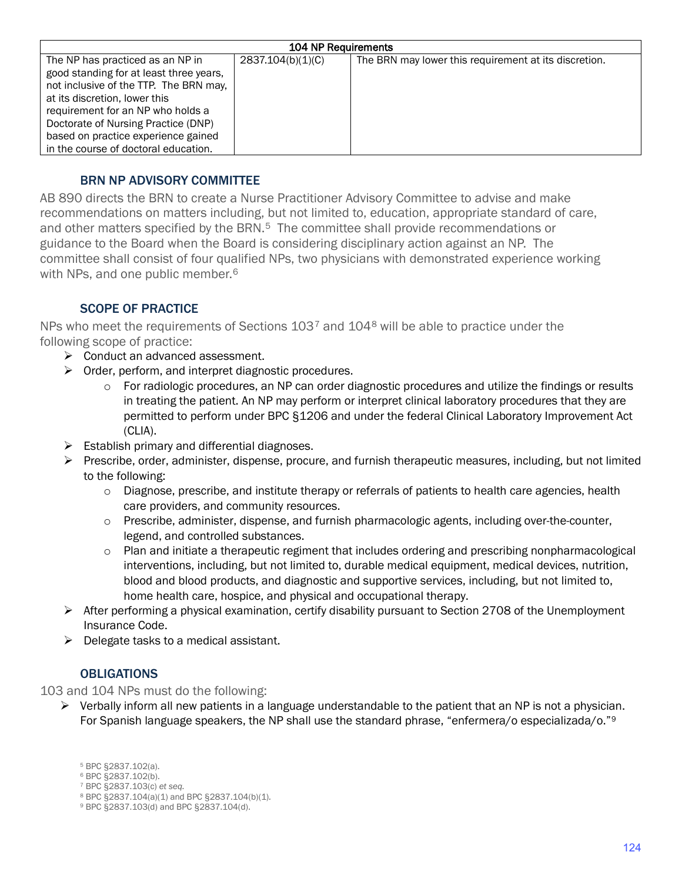| <b>104 NP Requirements</b>              |                   |                                                       |  |  |
|-----------------------------------------|-------------------|-------------------------------------------------------|--|--|
| The NP has practiced as an NP in        | 2837.104(b)(1)(C) | The BRN may lower this requirement at its discretion. |  |  |
| good standing for at least three years, |                   |                                                       |  |  |
| not inclusive of the TTP. The BRN may,  |                   |                                                       |  |  |
| at its discretion, lower this           |                   |                                                       |  |  |
| requirement for an NP who holds a       |                   |                                                       |  |  |
| Doctorate of Nursing Practice (DNP)     |                   |                                                       |  |  |
| based on practice experience gained     |                   |                                                       |  |  |
| in the course of doctoral education.    |                   |                                                       |  |  |

## BRN NP ADVISORY COMMITTEE

AB 890 directs the BRN to create a Nurse Practitioner Advisory Committee to advise and make recommendations on matters including, but not limited to, education, appropriate standard of care, and other matters specified by the BRN.<sup>[5](#page-3-0)</sup> The committee shall provide recommendations or guidance to the Board when the Board is considering disciplinary action against an NP. The committee shall consist of four qualified NPs, two physicians with demonstrated experience working with NPs, and one public member.<sup>6</sup>

# SCOPE OF PRACTICE

NPs who meet the requirements of Sections  $103<sup>7</sup>$  $103<sup>7</sup>$  $103<sup>7</sup>$  and  $104<sup>8</sup>$  $104<sup>8</sup>$  $104<sup>8</sup>$  will be able to practice under the following scope of practice:

- $\triangleright$  Conduct an advanced assessment.
- $\triangleright$  Order, perform, and interpret diagnostic procedures.
	- o For radiologic procedures, an NP can order diagnostic procedures and utilize the findings or results in treating the patient. An NP may perform or interpret clinical laboratory procedures that they are permitted to perform under BPC §1206 and under the federal Clinical Laboratory Improvement Act (CLIA).
- $\triangleright$  Establish primary and differential diagnoses.
- $\triangleright$  Prescribe, order, administer, dispense, procure, and furnish therapeutic measures, including, but not limited to the following:
	- $\circ$  Diagnose, prescribe, and institute therapy or referrals of patients to health care agencies, health care providers, and community resources.
	- o Prescribe, administer, dispense, and furnish pharmacologic agents, including over-the-counter, legend, and controlled substances.
	- interventions, including, but not limited to, durable medical equipment, medical devices, nutrition, o Plan and initiate a therapeutic regiment that includes ordering and prescribing nonpharmacological blood and blood products, and diagnostic and supportive services, including, but not limited to, home health care, hospice, and physical and occupational therapy.
- $\triangleright$  After performing a physical examination, certify disability pursuant to Section 2708 of the Unemployment Insurance Code.
- $\triangleright$  Delegate tasks to a medical assistant.

## **OBLIGATIONS**

<span id="page-3-0"></span>103 and 104 NPs must do the following:

- <span id="page-3-4"></span><span id="page-3-3"></span><span id="page-3-2"></span><span id="page-3-1"></span> $\triangleright$  Verbally inform all new patients in a language understandable to the patient that an NP is not a physician.<br>For Spanish language speakers, the NP shall use the standard phrase, "enfermera/o especializada/o."[9](#page-3-4) For Spanish language speakers, the NP shall use the standard phrase, "enfermera/o especializada/o."<sup>9</sup>
	- 5 BPC §2837.102(a).
	- 6 BPC §2837.102(b).
	- 7 BPC §2837.103(c) *et seq.*
	- 8 BPC §2837.104(a)(1) and BPC §2837.104(b)(1)*.*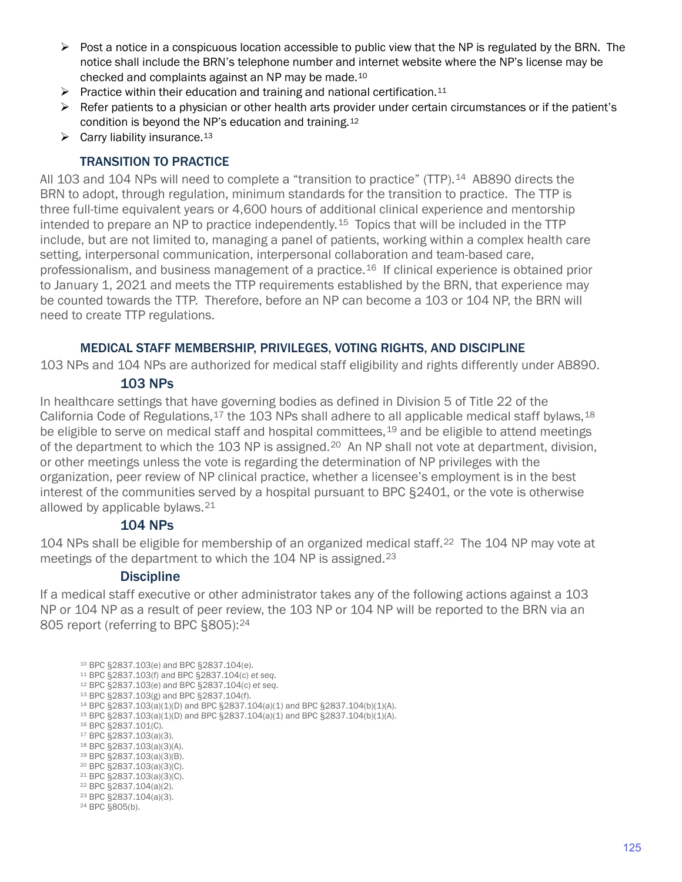- $\triangleright$  Post a notice in a conspicuous location accessible to public view that the NP is regulated by the BRN. The checked and complaints against an NP may be made.[10](#page-4-0)  notice shall include the BRN's telephone number and internet website where the NP's license may be
- $\triangleright$  Practice within their education and training and national certification.<sup>[11](#page-4-1)</sup>
- $\triangleright$  Refer patients to a physician or other health arts provider under certain circumstances or if the patient's condition is beyond the NP's education and training.[12](#page-4-2)
- $\triangleright$  Carry liability insurance.<sup>[13](#page-4-3)</sup>

#### TRANSITION TO PRACTICE

intended to prepare an NP to practice independently.<sup>15</sup> Topics that will be included in the TTP All 103 and 104 NPs will need to complete a "transition to practice" (TTP).[14](#page-4-4) AB890 directs the BRN to adopt, through regulation, minimum standards for the transition to practice. The TTP is three full-time equivalent years or 4,600 hours of additional clinical experience and mentorship include, but are not limited to, managing a panel of patients, working within a complex health care setting, interpersonal communication, interpersonal collaboration and team-based care, professionalism, and business management of a practice.[16](#page-4-6) If clinical experience is obtained prior to January 1, 2021 and meets the TTP requirements established by the BRN, that experience may be counted towards the TTP. Therefore, before an NP can become a 103 or 104 NP, the BRN will need to create TTP regulations.

#### MEDICAL STAFF MEMBERSHIP, PRIVILEGES, VOTING RIGHTS, AND DISCIPLINE

103 NPs and 104 NPs are authorized for medical staff eligibility and rights differently under AB890.

### 103 NPs

of the department to which the 103 NP is assigned.<sup>[20](#page-4-10)</sup> An NP shall not vote at department, division, In healthcare settings that have governing bodies as defined in Division 5 of Title 22 of the California Code of Regulations,  $17$  the 103 NPs shall adhere to all applicable medical staff bylaws,  $18$ be eligible to serve on medical staff and hospital committees,<sup>19</sup> and be eligible to attend meetings or other meetings unless the vote is regarding the determination of NP privileges with the organization, peer review of NP clinical practice, whether a licensee's employment is in the best interest of the communities served by a hospital pursuant to BPC §2401, or the vote is otherwise allowed by applicable bylaws.[21](#page-4-11)

#### 104 NPs

 meetings of the department to which the 104 NP is assigned.[23](#page-4-13)  104 NPs shall be eligible for membership of an organized medical staff.<sup>22</sup> The 104 NP may vote at

### **Discipline**

 If a medical staff executive or other administrator takes any of the following actions against a 103 NP or 104 NP as a result of peer review, the 103 NP or 104 NP will be reported to the BRN via an 805 report (referring to BPC §805):24

<span id="page-4-14"></span><span id="page-4-13"></span><span id="page-4-12"></span><span id="page-4-11"></span><span id="page-4-10"></span><span id="page-4-9"></span><span id="page-4-8"></span><span id="page-4-7"></span><span id="page-4-6"></span><span id="page-4-5"></span><span id="page-4-4"></span><span id="page-4-3"></span><span id="page-4-2"></span><span id="page-4-1"></span><span id="page-4-0"></span><sup>10</sup> BPC §2837.103(e) and BPC §2837.104(e).<br><sup>11</sup> BPC §2837.103(f) and BPC §2837.104(c) et seq.<br><sup>12</sup> BPC §2837.103(e) and BPC §2837.104(c) et seq.<br><sup>13</sup> BPC §2837.103(g) and BPC §2837.104(f).<br><sup>14</sup> BPC §2837.103(a)(1)(D) and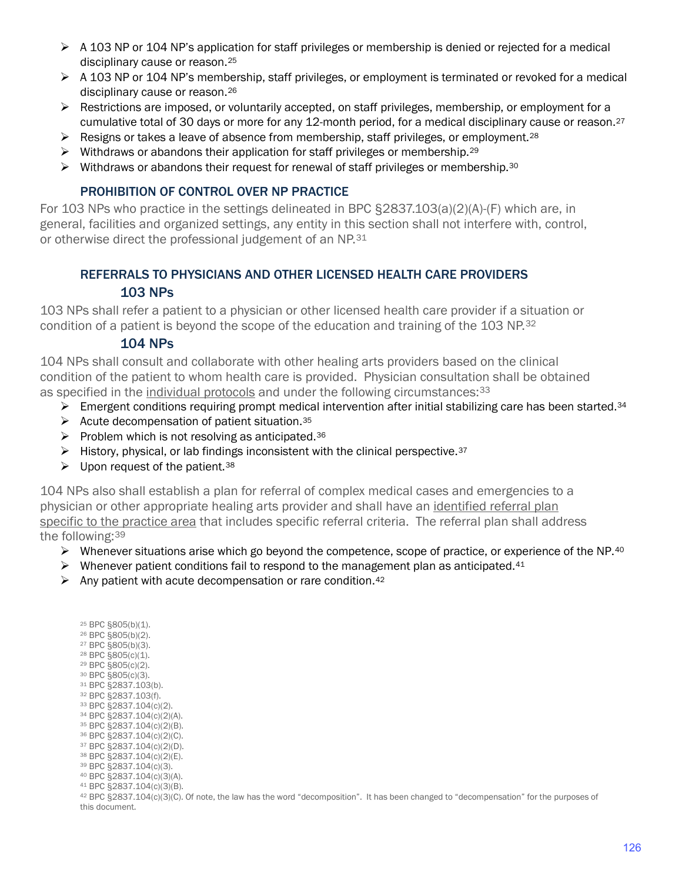- $\triangleright$  A 103 NP or 104 NP's application for staff privileges or membership is denied or rejected for a medical disciplinary cause or reason.[25](#page-5-0)
- $\triangleright$  A 103 NP or 104 NP's membership, staff privileges, or employment is terminated or revoked for a medical disciplinary cause or reason.[26](#page-5-1)
- cumulative total of 30 days or more for any 12-month period, for a medical disciplinary cause or reason.<sup>[27](#page-5-2)</sup>  $\triangleright$  Restrictions are imposed, or voluntarily accepted, on staff privileges, membership, or employment for a
- $\triangleright$  Resigns or takes a leave of absence from membership, staff privileges, or employment.<sup>28</sup>
- $\triangleright$  Withdraws or abandons their application for staff privileges or membership.<sup>29</sup>
- $\triangleright$  Withdraws or abandons their request for renewal of staff privileges or membership.<sup>[30](#page-5-5)</sup>

## PROHIBITION OF CONTROL OVER NP PRACTICE

For 103 NPs who practice in the settings delineated in BPC §2837.103(a)(2)(A)-(F) which are, in general, facilities and organized settings, any entity in this section shall not interfere with, control, or otherwise direct the professional judgement of an NP.<sup>[31](#page-5-6)</sup>

# REFERRALS TO PHYSICIANS AND OTHER LICENSED HEALTH CARE PROVIDERS

## 103 NPs

 condition of a patient is beyond the scope of the education and training of the 103 NP.[32](#page-5-7) 103 NPs shall refer a patient to a physician or other licensed health care provider if a situation or

## 104 NPs

104 NPs shall consult and collaborate with other healing arts providers based on the clinical condition of the patient to whom health care is provided. Physician consultation shall be obtained as specified in the individual protocols and under the following circumstances: [33](#page-5-8)

- Emergent conditions requiring prompt medical intervention after initial stabilizing care has been started.<sup>34</sup>
- $\blacktriangleright$  Acute decompensation of patient situation. [35](#page-5-10)
- Problem which is not resolving as anticipated.<sup>36</sup>
- $\blacktriangleright$  History, physical, or lab findings inconsistent with the clinical perspective.<sup>37</sup>
- $\blacktriangleright$  Upon request of the patient.<sup>38</sup>

104 NPs also shall establish a plan for referral of complex medical cases and emergencies to a physician or other appropriate healing arts provider and shall have an identified referral plan specific to the practice area that includes specific referral criteria. The referral plan shall address the following:[39](#page-5-14) 

- $\triangleright$  Whenever situations arise which go beyond the competence, scope of practice, or experience of the NP.40
- $\triangleright$  Whenever patient conditions fail to respond to the management plan as anticipated.<sup>[41](#page-5-16)</sup>
- $\triangleright$  Any patient with acute decompensation or rare condition.<sup>[42](#page-5-17)</sup>

<span id="page-5-17"></span><span id="page-5-16"></span><span id="page-5-15"></span><span id="page-5-14"></span><span id="page-5-13"></span><span id="page-5-12"></span><span id="page-5-11"></span><span id="page-5-10"></span><span id="page-5-9"></span><span id="page-5-8"></span><span id="page-5-7"></span><span id="page-5-6"></span><span id="page-5-5"></span><span id="page-5-4"></span><span id="page-5-3"></span><span id="page-5-2"></span><span id="page-5-1"></span><span id="page-5-0"></span>42 BPC §2837.104(c)(3)(C). Of note, the law has the word "decomposition". It has been changed to "decompensation" for the purposes of <sup>25</sup> BPC §805(b)(2).<br>
<sup>26</sup> BPC §805(b)(2).<br>
<sup>27</sup> BPC §805(b)(3).<br>
<sup>29</sup> BPC §805(c)(2).<br>
<sup>29</sup> BPC §805(c)(2).<br>
<sup>31</sup> BPC §805(c)(2).<br>
<sup>31</sup> BPC §2837.104(c)(2)(8).<br>
<sup>31</sup> BPC §2837.104(c)(2)(8).<br>
<sup>36</sup> BPC §2837.104(c)(2)(8).<br> this document.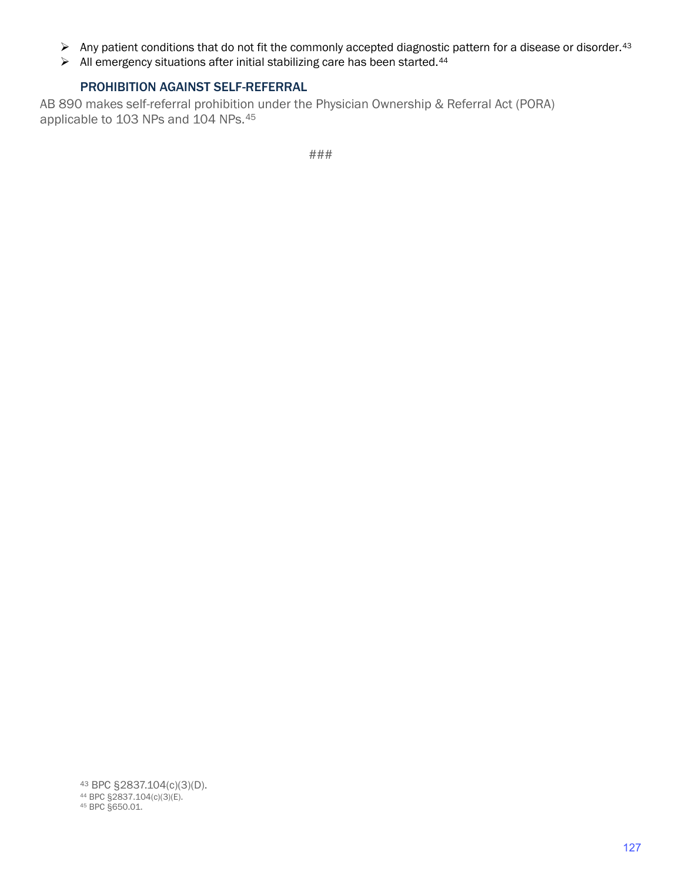- $\triangleright$  Any patient conditions that do not fit the commonly accepted diagnostic pattern for a disease or disorder.<sup>[43](#page-6-0)</sup>
- $\triangleright$  All emergency situations after initial stabilizing care has been started.<sup>[44](#page-6-1)</sup>

## PROHIBITION AGAINST SELF-REFERRAL

AB 890 makes self-referral prohibition under the Physician Ownership & Referral Act (PORA) applicable to 103 NPs and 104 NPs.[45](#page-6-2) 

<span id="page-6-2"></span><span id="page-6-1"></span><span id="page-6-0"></span>43 BPC §2837.104(c)(3)(D).<br><sup>44</sup> BPC §2837.104(c)(3)(E).<br><sup>45</sup> BPC §650.01.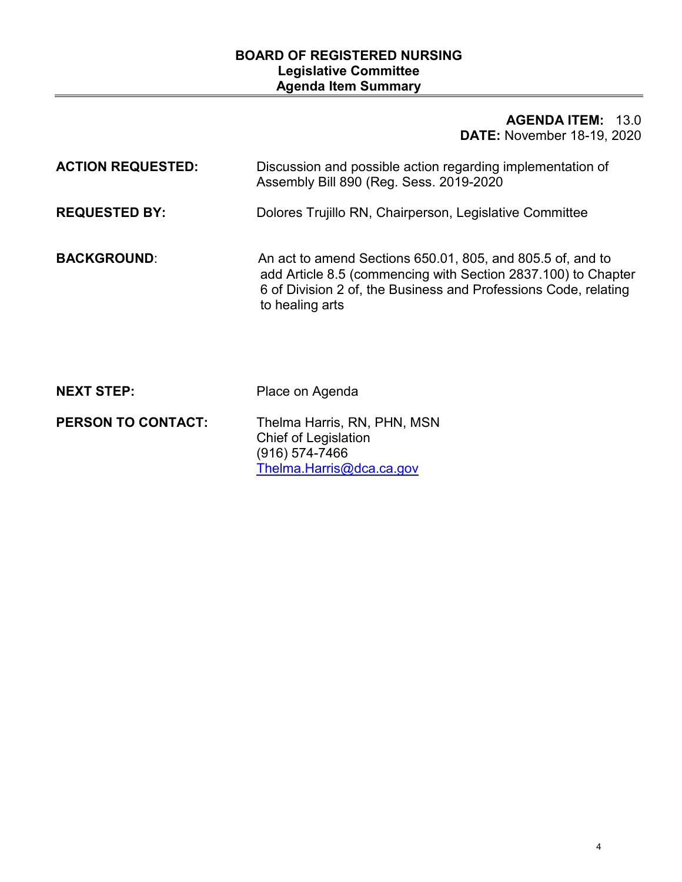# **BOARD OF REGISTERED NURSING Legislative Committee Agenda Item Summary**

# **AGENDA ITEM:** 13.0 **DATE:** November 18-19, 2020

| <b>ACTION REQUESTED:</b>  | Discussion and possible action regarding implementation of<br>Assembly Bill 890 (Reg. Sess. 2019-2020                                                                                                             |
|---------------------------|-------------------------------------------------------------------------------------------------------------------------------------------------------------------------------------------------------------------|
| <b>REQUESTED BY:</b>      | Dolores Trujillo RN, Chairperson, Legislative Committee                                                                                                                                                           |
| <b>BACKGROUND:</b>        | An act to amend Sections 650.01, 805, and 805.5 of, and to<br>add Article 8.5 (commencing with Section 2837.100) to Chapter<br>6 of Division 2 of, the Business and Professions Code, relating<br>to healing arts |
| <b>NEXT STEP:</b>         | Place on Agenda                                                                                                                                                                                                   |
| <b>PERSON TO CONTACT:</b> | Thelma Harris, RN, PHN, MSN<br>Chief of Legislation<br>(916) 574-7466<br>Thelma.Harris@dca.ca.gov                                                                                                                 |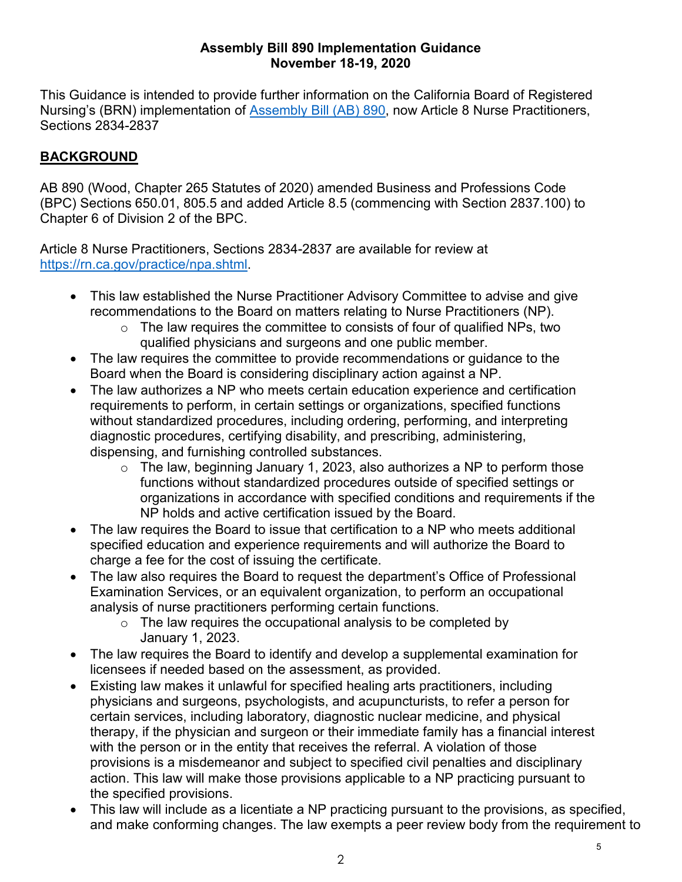## **Assembly Bill 890 Implementation Guidance November 18-19, 2020**

This Guidance is intended to provide further information on the California Board of Registered Nursing's (BRN) implementation of [Assembly Bill \(AB\) 890,](http://leginfo.legislature.ca.gov/faces/billNavClient.xhtml?bill_id=201920200AB890) now Article 8 Nurse Practitioners, Sections 2834-2837

# **BACKGROUND**

 AB 890 (Wood, Chapter 265 Statutes of 2020) amended Business and Professions Code (BPC) Sections 650.01, 805.5 and added Article 8.5 (commencing with Section 2837.100) to Chapter 6 of Division 2 of the BPC.

Article 8 Nurse Practitioners, Sections 2834-2837 are available for review at [https://rn.ca.gov/practice/npa.shtml.](https://rn.ca.gov/practice/npa.shtml)

- recommendations to the Board on matters relating to Nurse Practitioners (NP). • This law established the Nurse Practitioner Advisory Committee to advise and give
	- qualified physicians and surgeons and one public member.  $\circ$  The law requires the committee to consists of four of qualified NPs, two
- The law requires the committee to provide recommendations or guidance to the Board when the Board is considering disciplinary action against a NP.
- The law authorizes a NP who meets certain education experience and certification requirements to perform, in certain settings or organizations, specified functions without standardized procedures, including ordering, performing, and interpreting diagnostic procedures, certifying disability, and prescribing, administering, dispensing, and furnishing controlled substances.
	- organizations in accordance with specified conditions and requirements if the  $\circ$  The law, beginning January 1, 2023, also authorizes a NP to perform those functions without standardized procedures outside of specified settings or NP holds and active certification issued by the Board.
- specified education and experience requirements and will authorize the Board to • The law requires the Board to issue that certification to a NP who meets additional charge a fee for the cost of issuing the certificate.
- The law also requires the Board to request the department's Office of Professional Examination Services, or an equivalent organization, to perform an occupational analysis of nurse practitioners performing certain functions.
	- $\circ$  The law requires the occupational analysis to be completed by January 1, 2023.
- The law requires the Board to identify and develop a supplemental examination for licensees if needed based on the assessment, as provided.
- Existing law makes it unlawful for specified healing arts practitioners, including physicians and surgeons, psychologists, and acupuncturists, to refer a person for certain services, including laboratory, diagnostic nuclear medicine, and physical therapy, if the physician and surgeon or their immediate family has a financial interest with the person or in the entity that receives the referral. A violation of those provisions is a misdemeanor and subject to specified civil penalties and disciplinary action. This law will make those provisions applicable to a NP practicing pursuant to the specified provisions.
- • This law will include as a licentiate a NP practicing pursuant to the provisions, as specified, and make conforming changes. The law exempts a peer review body from the requirement to

5